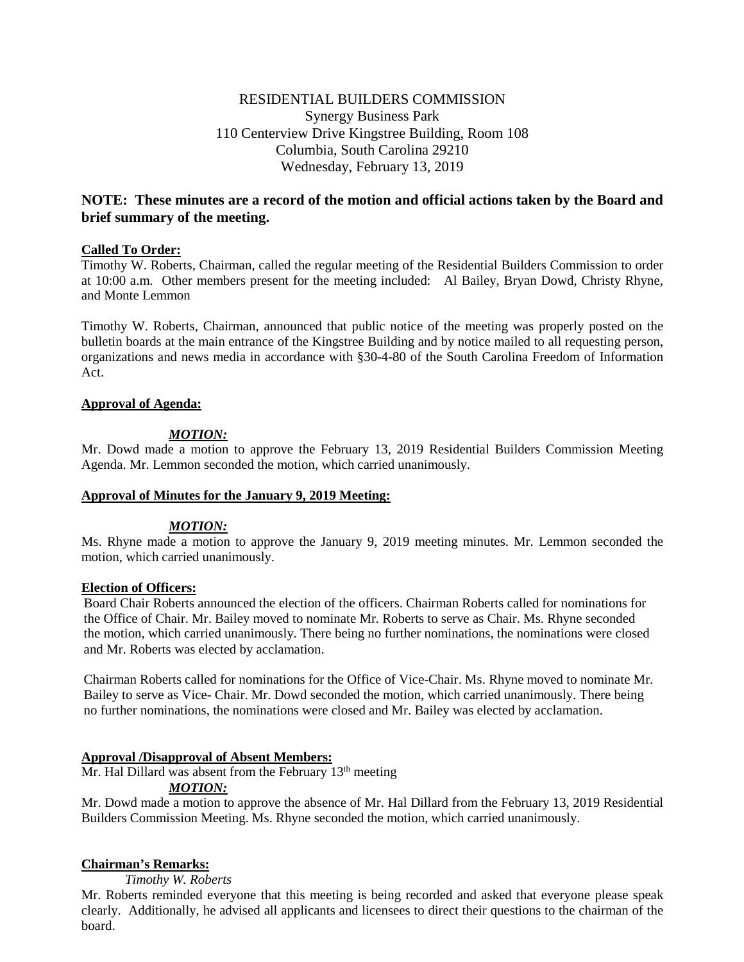# RESIDENTIAL BUILDERS COMMISSION Synergy Business Park 110 Centerview Drive Kingstree Building, Room 108 Columbia, South Carolina 29210 Wednesday, February 13, 2019

# **NOTE: These minutes are a record of the motion and official actions taken by the Board and brief summary of the meeting.**

### **Called To Order:**

Timothy W. Roberts, Chairman, called the regular meeting of the Residential Builders Commission to order at 10:00 a.m. Other members present for the meeting included: Al Bailey, Bryan Dowd, Christy Rhyne, and Monte Lemmon

Timothy W. Roberts, Chairman, announced that public notice of the meeting was properly posted on the bulletin boards at the main entrance of the Kingstree Building and by notice mailed to all requesting person, organizations and news media in accordance with §30-4-80 of the South Carolina Freedom of Information Act.

### **Approval of Agenda:**

### *MOTION:*

Mr. Dowd made a motion to approve the February 13, 2019 Residential Builders Commission Meeting Agenda. Mr. Lemmon seconded the motion, which carried unanimously.

### **Approval of Minutes for the January 9, 2019 Meeting:**

### *MOTION:*

Ms. Rhyne made a motion to approve the January 9, 2019 meeting minutes. Mr. Lemmon seconded the motion, which carried unanimously.

### **Election of Officers:**

Board Chair Roberts announced the election of the officers. Chairman Roberts called for nominations for the Office of Chair. Mr. Bailey moved to nominate Mr. Roberts to serve as Chair. Ms. Rhyne seconded the motion, which carried unanimously. There being no further nominations, the nominations were closed and Mr. Roberts was elected by acclamation.

Chairman Roberts called for nominations for the Office of Vice-Chair. Ms. Rhyne moved to nominate Mr. Bailey to serve as Vice- Chair. Mr. Dowd seconded the motion, which carried unanimously. There being no further nominations, the nominations were closed and Mr. Bailey was elected by acclamation.

### **Approval /Disapproval of Absent Members:**

Mr. Hal Dillard was absent from the February 13<sup>th</sup> meeting

# *MOTION:*

Mr. Dowd made a motion to approve the absence of Mr. Hal Dillard from the February 13, 2019 Residential Builders Commission Meeting. Ms. Rhyne seconded the motion, which carried unanimously.

### **Chairman's Remarks:**

*Timothy W. Roberts*

Mr. Roberts reminded everyone that this meeting is being recorded and asked that everyone please speak clearly. Additionally, he advised all applicants and licensees to direct their questions to the chairman of the board.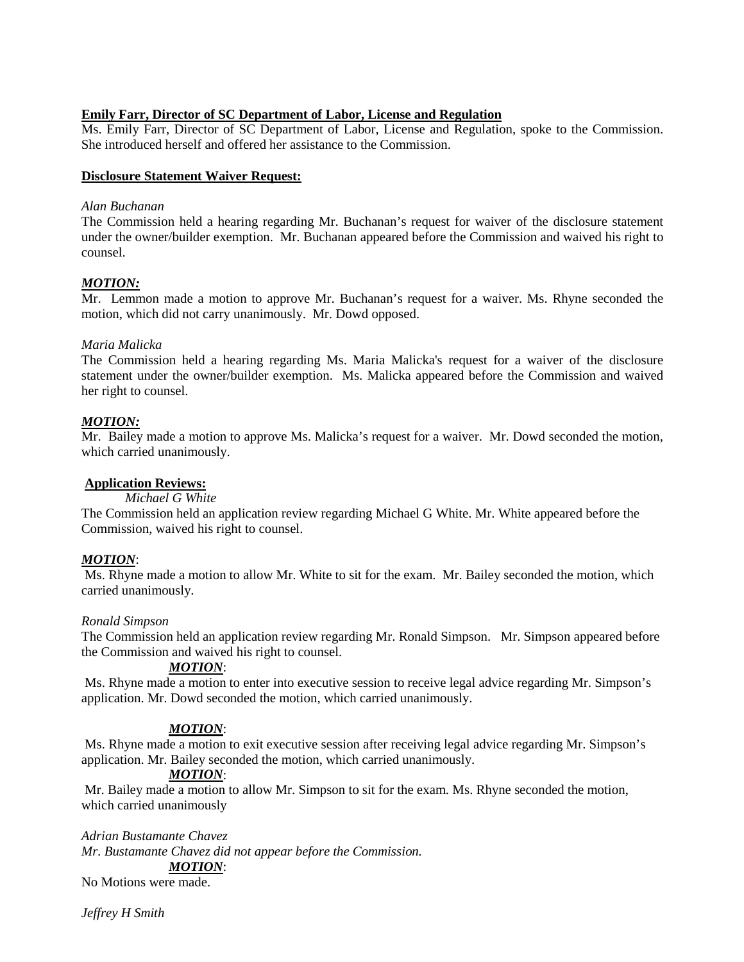# **Emily Farr, Director of SC Department of Labor, License and Regulation**

Ms. Emily Farr, Director of SC Department of Labor, License and Regulation, spoke to the Commission. She introduced herself and offered her assistance to the Commission.

### **Disclosure Statement Waiver Request:**

### *Alan Buchanan*

The Commission held a hearing regarding Mr. Buchanan's request for waiver of the disclosure statement under the owner/builder exemption. Mr. Buchanan appeared before the Commission and waived his right to counsel.

### *MOTION:*

Mr. Lemmon made a motion to approve Mr. Buchanan's request for a waiver. Ms. Rhyne seconded the motion, which did not carry unanimously. Mr. Dowd opposed.

### *Maria Malicka*

The Commission held a hearing regarding Ms. Maria Malicka's request for a waiver of the disclosure statement under the owner/builder exemption. Ms. Malicka appeared before the Commission and waived her right to counsel.

# *MOTION:*

Mr. Bailey made a motion to approve Ms. Malicka's request for a waiver. Mr. Dowd seconded the motion, which carried unanimously.

# **Application Reviews:**

*Michael G White*

The Commission held an application review regarding Michael G White. Mr. White appeared before the Commission, waived his right to counsel.

# *MOTION*:

Ms. Rhyne made a motion to allow Mr. White to sit for the exam. Mr. Bailey seconded the motion, which carried unanimously.

### *Ronald Simpson*

The Commission held an application review regarding Mr. Ronald Simpson. Mr. Simpson appeared before the Commission and waived his right to counsel.

# *MOTION*:

Ms. Rhyne made a motion to enter into executive session to receive legal advice regarding Mr. Simpson's application. Mr. Dowd seconded the motion, which carried unanimously.

# *MOTION*:

Ms. Rhyne made a motion to exit executive session after receiving legal advice regarding Mr. Simpson's application. Mr. Bailey seconded the motion, which carried unanimously.

# *MOTION*:

Mr. Bailey made a motion to allow Mr. Simpson to sit for the exam. Ms. Rhyne seconded the motion, which carried unanimously

*Adrian Bustamante Chavez*

*Mr. Bustamante Chavez did not appear before the Commission.*

# *MOTION*:

No Motions were made.

*Jeffrey H Smith*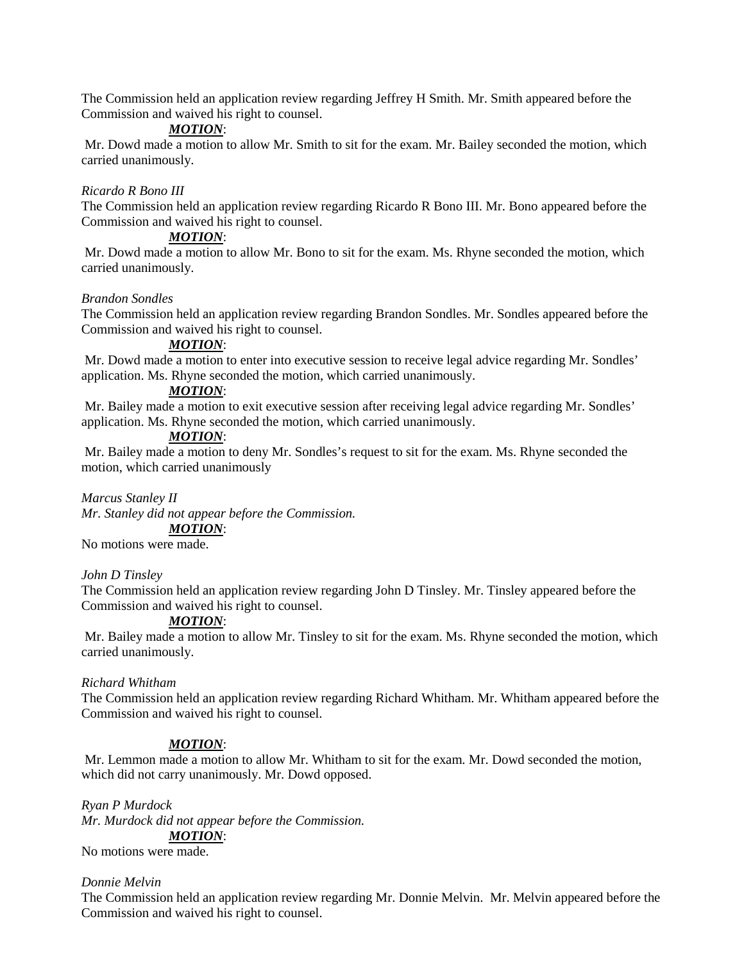The Commission held an application review regarding Jeffrey H Smith. Mr. Smith appeared before the Commission and waived his right to counsel.

# *MOTION*:

Mr. Dowd made a motion to allow Mr. Smith to sit for the exam. Mr. Bailey seconded the motion, which carried unanimously.

#### *Ricardo R Bono III*

The Commission held an application review regarding Ricardo R Bono III. Mr. Bono appeared before the Commission and waived his right to counsel.

### *MOTION*:

Mr. Dowd made a motion to allow Mr. Bono to sit for the exam. Ms. Rhyne seconded the motion, which carried unanimously.

#### *Brandon Sondles*

The Commission held an application review regarding Brandon Sondles. Mr. Sondles appeared before the Commission and waived his right to counsel.

#### *MOTION*:

Mr. Dowd made a motion to enter into executive session to receive legal advice regarding Mr. Sondles' application. Ms. Rhyne seconded the motion, which carried unanimously.

### *MOTION*:

Mr. Bailey made a motion to exit executive session after receiving legal advice regarding Mr. Sondles' application. Ms. Rhyne seconded the motion, which carried unanimously.

### *MOTION*:

Mr. Bailey made a motion to deny Mr. Sondles's request to sit for the exam. Ms. Rhyne seconded the motion, which carried unanimously

#### *Marcus Stanley II*

*Mr. Stanley did not appear before the Commission. MOTION*:

No motions were made.

#### *John D Tinsley*

The Commission held an application review regarding John D Tinsley. Mr. Tinsley appeared before the Commission and waived his right to counsel.

### *MOTION*:

Mr. Bailey made a motion to allow Mr. Tinsley to sit for the exam. Ms. Rhyne seconded the motion, which carried unanimously.

#### *Richard Whitham*

The Commission held an application review regarding Richard Whitham. Mr. Whitham appeared before the Commission and waived his right to counsel.

#### *MOTION*:

Mr. Lemmon made a motion to allow Mr. Whitham to sit for the exam. Mr. Dowd seconded the motion, which did not carry unanimously. Mr. Dowd opposed.

*Ryan P Murdock Mr. Murdock did not appear before the Commission. MOTION*: No motions were made.

#### *Donnie Melvin*

The Commission held an application review regarding Mr. Donnie Melvin. Mr. Melvin appeared before the Commission and waived his right to counsel.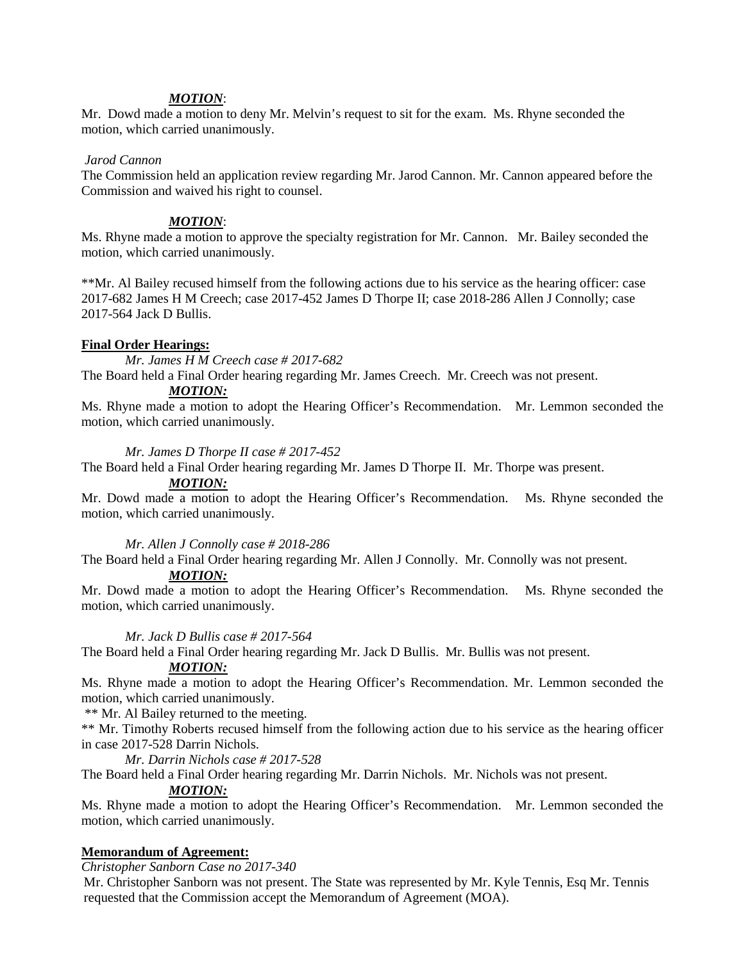### *MOTION*:

Mr. Dowd made a motion to deny Mr. Melvin's request to sit for the exam. Ms. Rhyne seconded the motion, which carried unanimously.

### *Jarod Cannon*

The Commission held an application review regarding Mr. Jarod Cannon. Mr. Cannon appeared before the Commission and waived his right to counsel.

### *MOTION*:

Ms. Rhyne made a motion to approve the specialty registration for Mr. Cannon. Mr. Bailey seconded the motion, which carried unanimously.

\*\*Mr. Al Bailey recused himself from the following actions due to his service as the hearing officer: case 2017-682 James H M Creech; case 2017-452 James D Thorpe II; case 2018-286 Allen J Connolly; case 2017-564 Jack D Bullis.

### **Final Order Hearings:**

*Mr. James H M Creech case # 2017-682*

The Board held a Final Order hearing regarding Mr. James Creech. Mr. Creech was not present.

# *MOTION:*

Ms. Rhyne made a motion to adopt the Hearing Officer's Recommendation. Mr. Lemmon seconded the motion, which carried unanimously.

### *Mr. James D Thorpe II case # 2017-452*

The Board held a Final Order hearing regarding Mr. James D Thorpe II. Mr. Thorpe was present.

### *MOTION:*

Mr. Dowd made a motion to adopt the Hearing Officer's Recommendation. Ms. Rhyne seconded the motion, which carried unanimously.

### *Mr. Allen J Connolly case # 2018-286*

The Board held a Final Order hearing regarding Mr. Allen J Connolly. Mr. Connolly was not present. *MOTION:*

Mr. Dowd made a motion to adopt the Hearing Officer's Recommendation. Ms. Rhyne seconded the motion, which carried unanimously.

### *Mr. Jack D Bullis case # 2017-564*

The Board held a Final Order hearing regarding Mr. Jack D Bullis. Mr. Bullis was not present.

### *MOTION:*

Ms. Rhyne made a motion to adopt the Hearing Officer's Recommendation. Mr. Lemmon seconded the motion, which carried unanimously.

\*\* Mr. Al Bailey returned to the meeting.

\*\* Mr. Timothy Roberts recused himself from the following action due to his service as the hearing officer in case 2017-528 Darrin Nichols.

### *Mr. Darrin Nichols case # 2017-528*

The Board held a Final Order hearing regarding Mr. Darrin Nichols. Mr. Nichols was not present.

### *MOTION:*

Ms. Rhyne made a motion to adopt the Hearing Officer's Recommendation. Mr. Lemmon seconded the motion, which carried unanimously.

### **Memorandum of Agreement:**

*Christopher Sanborn Case no 2017-340*

Mr. Christopher Sanborn was not present. The State was represented by Mr. Kyle Tennis, Esq Mr. Tennis requested that the Commission accept the Memorandum of Agreement (MOA).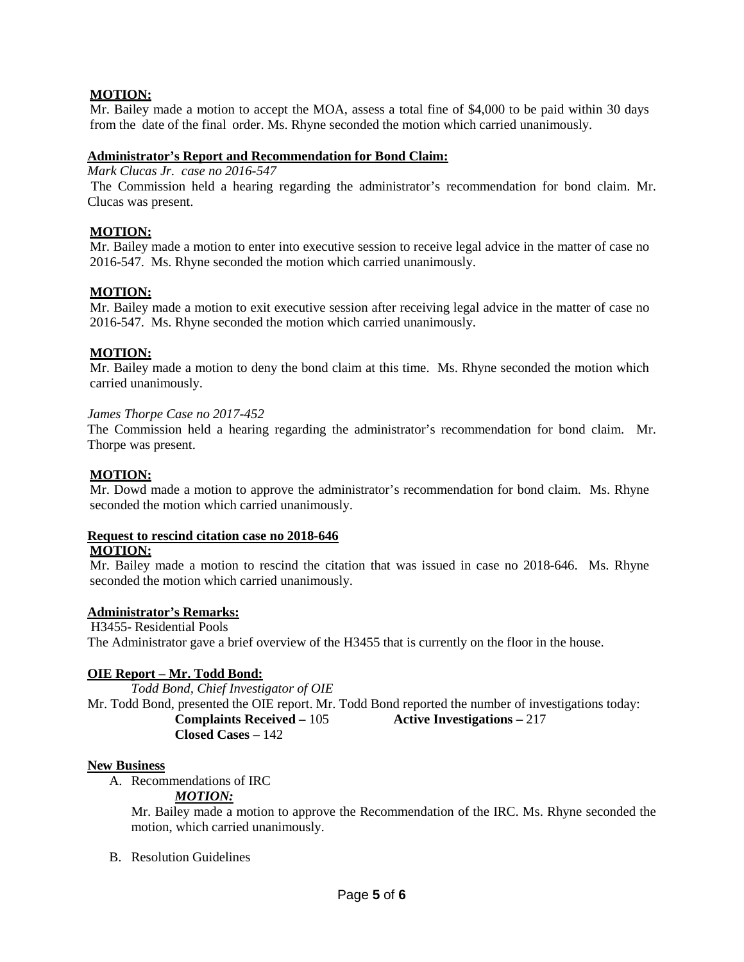## **MOTION:**

Mr. Bailey made a motion to accept the MOA, assess a total fine of \$4,000 to be paid within 30 days from the date of the final order. Ms. Rhyne seconded the motion which carried unanimously.

### **Administrator's Report and Recommendation for Bond Claim:**

*Mark Clucas Jr. case no 2016-547*

The Commission held a hearing regarding the administrator's recommendation for bond claim. Mr. Clucas was present.

### **MOTION:**

Mr. Bailey made a motion to enter into executive session to receive legal advice in the matter of case no 2016-547. Ms. Rhyne seconded the motion which carried unanimously.

### **MOTION:**

Mr. Bailey made a motion to exit executive session after receiving legal advice in the matter of case no 2016-547. Ms. Rhyne seconded the motion which carried unanimously.

### **MOTION:**

Mr. Bailey made a motion to deny the bond claim at this time. Ms. Rhyne seconded the motion which carried unanimously.

### *James Thorpe Case no 2017-452*

The Commission held a hearing regarding the administrator's recommendation for bond claim. Mr. Thorpe was present.

### **MOTION:**

Mr. Dowd made a motion to approve the administrator's recommendation for bond claim. Ms. Rhyne seconded the motion which carried unanimously.

#### **Request to rescind citation case no 2018-646 MOTION:**

Mr. Bailey made a motion to rescind the citation that was issued in case no 2018-646. Ms. Rhyne seconded the motion which carried unanimously.

#### **Administrator's Remarks:**

H3455- Residential Pools The Administrator gave a brief overview of the H3455 that is currently on the floor in the house.

### **OIE Report – Mr. Todd Bond:**

*Todd Bond, Chief Investigator of OIE* Mr. Todd Bond, presented the OIE report. Mr. Todd Bond reported the number of investigations today: **Complaints Received –** 105 **Active Investigations –** 217 **Closed Cases –** 142

#### **New Business**

A. Recommendations of IRC

*MOTION:*

Mr. Bailey made a motion to approve the Recommendation of the IRC. Ms. Rhyne seconded the motion, which carried unanimously.

B. Resolution Guidelines